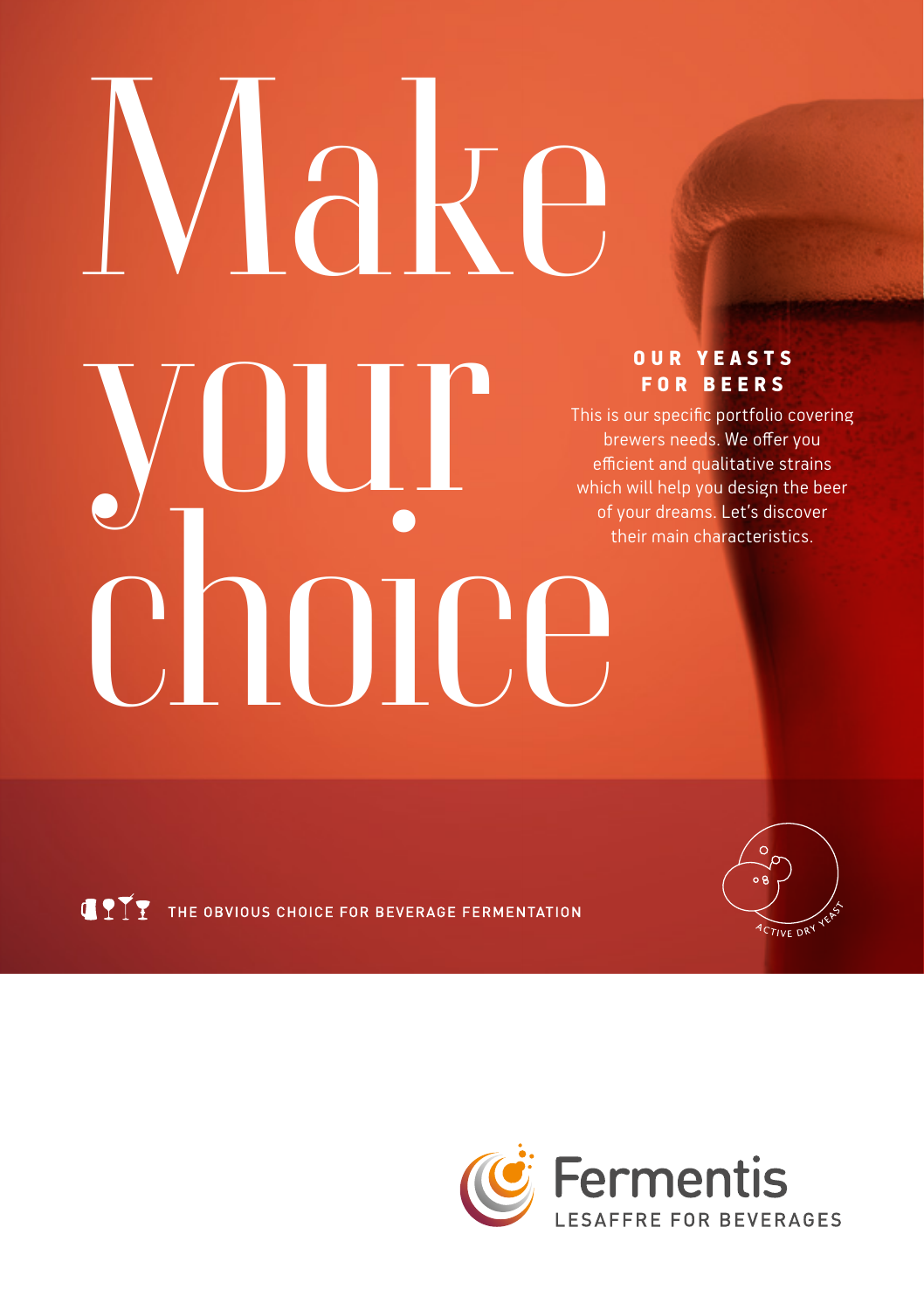# Make your choice

#### O U R Y E A S T S FOR BEERS

This is our specific portfolio covering brewers needs. We offer you efficient and qualitative strains which will help you design the beer of your dreams. Let's discover their main characteristics.



**CITY** THE OBVIOUS CHOICE FOR BEVERAGE FERMENTATION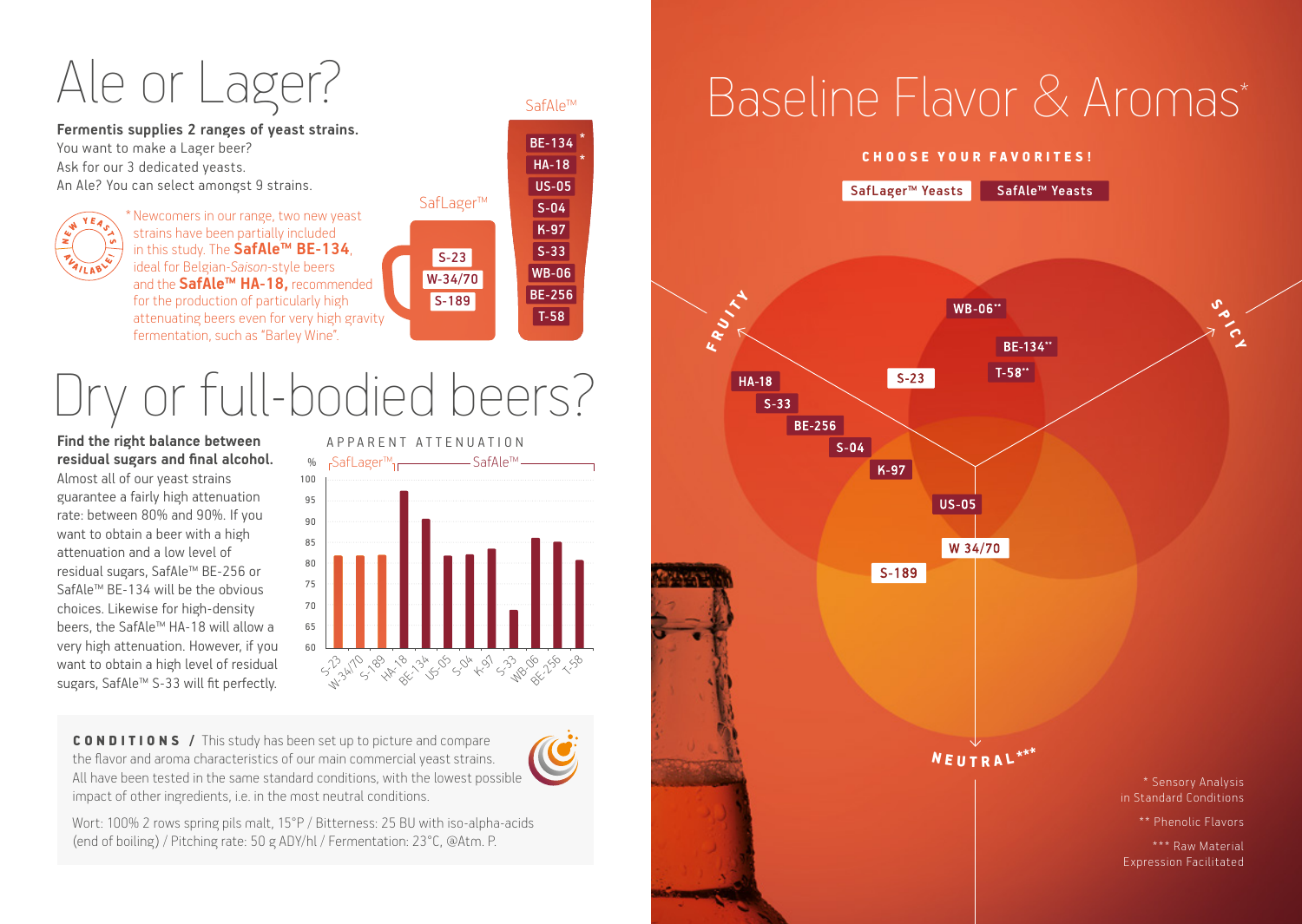## Ale or Lager?

**Fermentis supplies 2 ranges of yeast strains.**  You want to make a Lager beer? Ask for our 3 dedicated yeasts. An Ale? You can select amongst 9 strains.

\* Newcomers in our range, two new yeast strains have been partially included in this study. The **SafAle™ BE-134**, ideal for Belgian-*Saison*-style beers and the **SafAle™ HA-18,** recommended for the production of particularly high attenuating beers even for very high gravity fermentation, such as "Barley Wine".

# Dry or full-bodied beers?

#### **Find the right balance between residual sugars and final alcohol.**

Almost all of our yeast strains guarantee a fairly high attenuation rate: between 80% and 90%. If you want to obtain a beer with a high attenuation and a low level of residual sugars, SafAle™ BE-256 or SafAle™ BE-134 will be the obvious choices. Likewise for high-density beers, the SafAle™ HA-18 will allow a very high attenuation. However, if you want to obtain a high level of residual sugars, SafAle™ S-33 will fit perfectly.



SafLager™

S-23 W-34/70 S-189

SafAle™

BE-134 HA-18 US-05 S-04 K-97  $S-33$ WB-06 BE-256 T-58

CONDITIONS / This study has been set up to picture and compare the flavor and aroma characteristics of our main commercial yeast strains. All have been tested in the same standard conditions, with the lowest possible impact of other ingredients, i.e. in the most neutral conditions.

Wort: 100% 2 rows spring pils malt, 15°P / Bitterness: 25 BU with iso-alpha-acids (end of boiling) / Pitching rate: 50 g ADY/hl / Fermentation: 23°C, @Atm. P.

## Baseline Flavor & Aromas\*